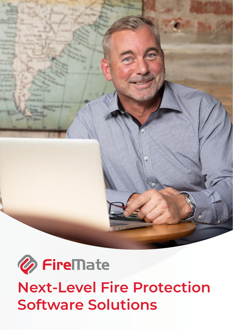



**Next-Level Fire Protection Software Solutions**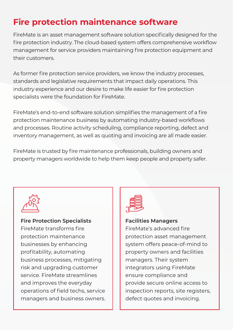# **Fire protection maintenance software**

FireMate is an asset management software solution specifically designed for the fire protection industry. The cloud-based system offers comprehensive workflow management for service providers maintaining fire protection equipment and their customers.

As former fire protection service providers, we know the industry processes, standards and legislative requirements that impact daily operations. This industry experience and our desire to make life easier for fire protection specialists were the foundation for FireMate.

FireMate's end-to-end software solution simplifies the management of a fire protection maintenance business by automating industry-based workflows and processes. Routine activity scheduling, compliance reporting, defect and inventory management, as well as quoting and invoicing are all made easier.

FireMate is trusted by fire maintenance professionals, building owners and property managers worldwide to help them keep people and property safer.



#### **Fire Protection Specialists** FireMate transforms fire

protection maintenance businesses by enhancing profitability, automating business processes, mitigating risk and upgrading customer service. FireMate streamlines and improves the everyday operations of field techs, service managers and business owners.



### **Facilities Managers**

FireMate's advanced fire protection asset management system offers peace-of-mind to property owners and facilities managers. Their system integrators using FireMate ensure compliance and provide secure online access to inspection reports, site registers, defect quotes and invoicing.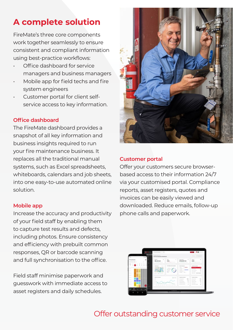## **A complete solution**

FireMate's three core components work together seamlessly to ensure consistent and compliant information using best-practice workflows:

- Office dashboard for service managers and business managers
- Mobile app for field techs and fire system engineers
- Customer portal for client selfservice access to key information.

### **Office dashboard**

The FireMate dashboard provides a snapshot of all key information and business insights required to run your fire maintenance business. It replaces all the traditional manual systems, such as Excel spreadsheets, whiteboards, calendars and job sheets, into one easy-to-use automated online solution.

#### **Mobile app**

Increase the accuracy and productivity of your field staff by enabling them to capture test results and defects, including photos. Ensure consistency and efficiency with prebuilt common responses, QR or barcode scanning and full synchronisation to the office.

Field staff minimise paperwork and guesswork with immediate access to asset registers and daily schedules.



#### **Customer portal**

Offer your customers secure browserbased access to their information 24/7 via your customised portal. Compliance reports, asset registers, quotes and invoices can be easily viewed and downloaded. Reduce emails, follow-up phone calls and paperwork.



## Offer outstanding customer service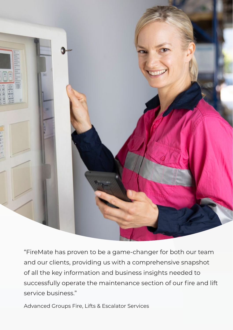

"FireMate has proven to be a game-changer for both our team and our clients, providing us with a comprehensive snapshot of all the key information and business insights needed to successfully operate the maintenance section of our fire and lift service business."

Advanced Groups Fire, Lifts & Escalator Services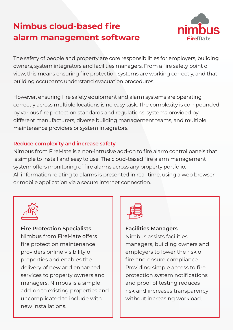# **Nimbus cloud-based fire alarm management software**



The safety of people and property are core responsibilities for employers, building owners, system integrators and facilities managers. From a fire safety point of view, this means ensuring fire protection systems are working correctly, and that building occupants understand evacuation procedures.

However, ensuring fire safety equipment and alarm systems are operating correctly across multiple locations is no easy task. The complexity is compounded by various fire protection standards and regulations, systems provided by different manufacturers, diverse building management teams, and multiple maintenance providers or system integrators.

### **Reduce complexity and increase safety**

Nimbus from FireMate is a non-intrusive add-on to fire alarm control panels that is simple to install and easy to use. The cloud-based fire alarm management system offers monitoring of fire alarms across any property portfolio. All information relating to alarms is presented in real-time, using a web browser or mobile application via a secure internet connection.



**Fire Protection Specialists** Nimbus from FireMate offers fire protection maintenance providers online visibility of properties and enables the delivery of new and enhanced services to property owners and managers. Nimbus is a simple add-on to existing properties and uncomplicated to include with new installations.



### **Facilities Managers**

Nimbus assists facilities managers, building owners and employers to lower the risk of fire and ensure compliance. Providing simple access to fire protection system notifications and proof of testing reduces risk and increases transparency without increasing workload.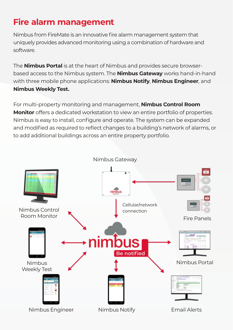# **Fire alarm management**

Nimbus from FireMate is an innovative fire alarm management system that uniquely provides advanced monitoring using a combination of hardware and software.

The **Nimbus Portal** is at the heart of Nimbus and provides secure browserbased access to the Nimbus system. The **Nimbus Gateway** works hand-in-hand with three mobile phone applications: **Nimbus Notify**, **Nimbus Engineer**, and **Nimbus Weekly Test.**

For multi-property monitoring and management, **Nimbus Control Room Monitor** offers a dedicated workstation to view an entire portfolio of properties. Nimbus is easy to install, configure and operate. The system can be expanded and modified as required to reflect changes to a building's network of alarms, or to add additional buildings across an entire property portfolio.

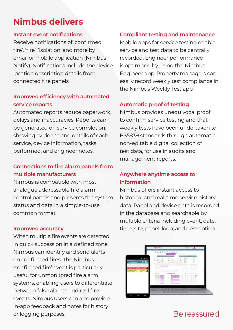## **Nimbus delivers**

#### **Instant event notifications**

Receive notifications of 'confirmed fire', 'fire', 'isolation' and more by email or mobile application (Nimbus Notify). Notifications include the device location description details from connected fire panels.

### **Improved efficiency with automated service reports**

Automated reports reduce paperwork, delays and inaccuracies. Reports can be generated on service completion, showing evidence and details of each service, device information, tasks performed, and engineer notes.

## **Connections to fire alarm panels from multiple manufacturers**

Nimbus is compatible with most analogue addressable fire alarm control panels and presents the system status and data in a simple-to-use common format.

#### **Improved accuracy**

When multiple fire events are detected in quick succession in a defined zone, Nimbus can identify and send alerts on confirmed fires. The Nimbus 'confirmed fire' event is particularly useful for unmonitored fire alarm systems, enabling users to differentiate between false alarms and real fire events. Nimbus users can also provide in-app feedback and notes for history or logging purposes.

### **Compliant testing and maintenance**

Mobile apps for service testing enable service and test data to be centrally recorded. Engineer performance is optimised by using the Nimbus Engineer app. Property managers can easily record weekly test compliance in the Nimbus Weekly Test app.

### **Automatic proof of testing**

Nimbus provides unequivocal proof to confirm service testing and that weekly tests have been undertaken to BS5839 standards through automatic, non-editable digital collection of test data, for use in audits and management reports.

## **Anywhere anytime access to information**

Nimbus offers instant access to historical and real-time service history data. Panel and device data is recorded in the database and searchable by multiple criteria including event, date, time, site, panel, loop, and description.



## Be reassured